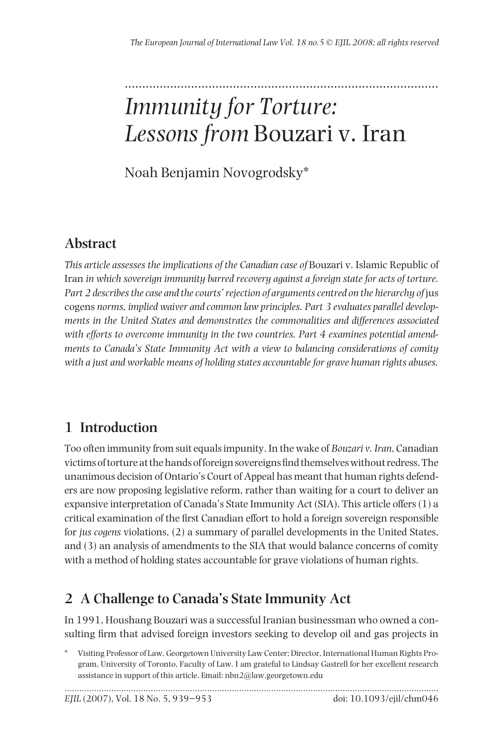# ..........................................................................................  *Immunity for Torture: Lessons from* Bouzari v. Iran

Noah Benjamin Novogrodsky \*

## **Abstract**

*This article assesses the implications of the Canadian case of Bouzari v. Islamic Republic of* Iran *in which sovereign immunity barred recovery against a foreign state for acts of torture. Part 2 describes the case and the courts' rejection of arguments centred on the hierarchy of jus* cogens *norms, implied waiver and common law principles. Part 3 evaluates parallel developments in the United States and demonstrates the commonalities and differences associated with efforts to overcome immunity in the two countries. Part 4 examines potential amendments to Canada's State Immunity Act with a view to balancing considerations of comity with a just and workable means of holding states accountable for grave human rights abuses.* 

## **1 Introduction**

 Too often immunity from suit equals impunity. In the wake of *Bouzari v. Iran* , Canadian victims of torture at the hands of foreign sovereigns find themselves without redress. The unanimous decision of Ontario's Court of Appeal has meant that human rights defenders are now proposing legislative reform, rather than waiting for a court to deliver an expansive interpretation of Canada's State Immunity Act (SIA). This article offers (1) a critical examination of the first Canadian effort to hold a foreign sovereign responsible for *jus cogens* violations, (2) a summary of parallel developments in the United States, and (3) an analysis of amendments to the SIA that would balance concerns of comity with a method of holding states accountable for grave violations of human rights.

## **2 A Challenge to Canada's State Immunity Act**

 In 1991, Houshang Bouzari was a successful Iranian businessman who owned a consulting firm that advised foreign investors seeking to develop oil and gas projects in

 <sup>\*</sup> Visiting Professor of Law, Georgetown University Law Center; Director, International Human Rights Program, University of Toronto, Faculty of Law. I am grateful to Lindsay Gastrell for her excellent research assistance in support of this article. Email: nbn2@law.georgetown.edu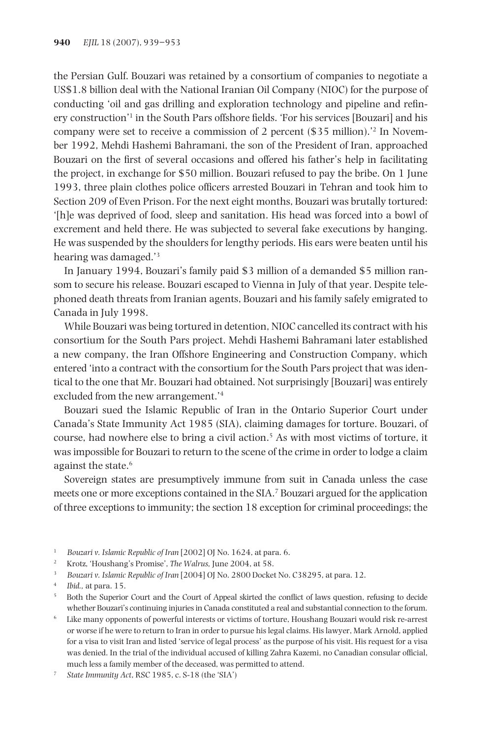the Persian Gulf. Bouzari was retained by a consortium of companies to negotiate a US\$1.8 billion deal with the National Iranian Oil Company (NIOC) for the purpose of conducting 'oil and gas drilling and exploration technology and pipeline and refinery construction<sup>'1</sup> in the South Pars offshore fields. 'For his services [Bouzari] and his company were set to receive a commission of 2 percent  $(\$35$  million).<sup>2</sup> In November 1992, Mehdi Hashemi Bahramani, the son of the President of Iran, approached Bouzari on the first of several occasions and offered his father's help in facilitating the project, in exchange for \$50 million. Bouzari refused to pay the bribe. On 1 June 1993, three plain clothes police officers arrested Bouzari in Tehran and took him to Section 209 of Even Prison. For the next eight months, Bouzari was brutally tortured: ' [h]e was deprived of food, sleep and sanitation. His head was forced into a bowl of excrement and held there. He was subjected to several fake executions by hanging. He was suspended by the shoulders for lengthy periods. His ears were beaten until his hearing was damaged.'<sup>3</sup>

 In January 1994, Bouzari's family paid \$3 million of a demanded \$5 million ransom to secure his release. Bouzari escaped to Vienna in July of that year. Despite telephoned death threats from Iranian agents, Bouzari and his family safely emigrated to Canada in July 1998.

 While Bouzari was being tortured in detention, NIOC cancelled its contract with his consortium for the South Pars project. Mehdi Hashemi Bahramani later established a new company, the Iran Offshore Engineering and Construction Company, which entered 'into a contract with the consortium for the South Pars project that was identical to the one that Mr. Bouzari had obtained. Not surprisingly [Bouzari] was entirely excluded from the new arrangement.'<sup>4</sup>

 Bouzari sued the Islamic Republic of Iran in the Ontario Superior Court under Canada's State Immunity Act 1985 (SIA), claiming damages for torture. Bouzari, of course, had nowhere else to bring a civil action. 5 As with most victims of torture, it was impossible for Bouzari to return to the scene of the crime in order to lodge a claim against the state.<sup>6</sup>

 Sovereign states are presumptively immune from suit in Canada unless the case meets one or more exceptions contained in the SIA. 7 Bouzari argued for the application of three exceptions to immunity; the section 18 exception for criminal proceedings; the

- 3 *Bouzari v. Islamic Republic of Iran* [2004] OJ No. 2800 Docket No. C38295, at para. 12.
- 4 *Ibid.,* at para. 15.
- 5 Both the Superior Court and the Court of Appeal skirted the conflict of laws question, refusing to decide whether Bouzari's continuing injuries in Canada constituted a real and substantial connection to the forum.
- <sup>6</sup> Like many opponents of powerful interests or victims of torture, Houshang Bouzari would risk re-arrest or worse if he were to return to Iran in order to pursue his legal claims. His lawyer, Mark Arnold, applied for a visa to visit Iran and listed 'service of legal process' as the purpose of his visit. His request for a visa was denied. In the trial of the individual accused of killing Zahra Kazemi, no Canadian consular official, much less a family member of the deceased, was permitted to attend.
- *State Immunity Act*, RSC 1985, c. S-18 (the 'SIA')

<sup>&</sup>lt;sup>1</sup> *Bouzari v. Islamic Republic of Iran* [2002] OJ No. 1624, at para. 6.

<sup>&</sup>lt;sup>2</sup> Krotz, 'Houshang's Promise', *The Walrus*, June 2004, at 58.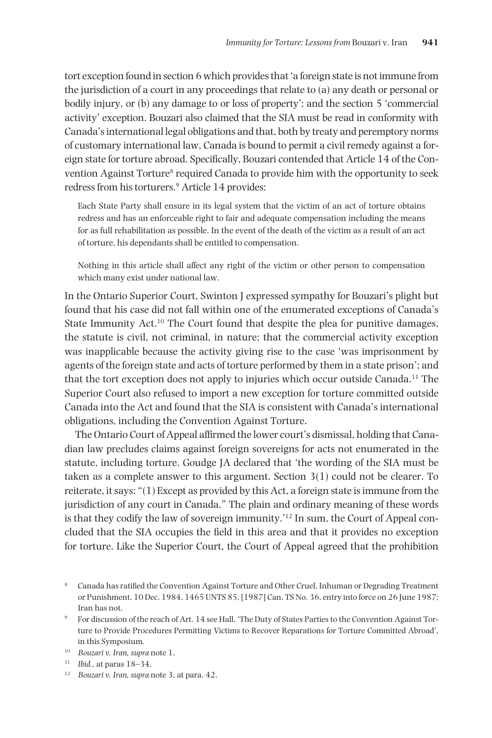tort exception found in section 6 which provides that 'a foreign state is not immune from the jurisdiction of a court in any proceedings that relate to (a) any death or personal or bodily injury, or (b) any damage to or loss of property'; and the section 5 'commercial activity' exception. Bouzari also claimed that the SIA must be read in conformity with Canada's international legal obligations and that, both by treaty and peremptory norms of customary international law, Canada is bound to permit a civil remedy against a foreign state for torture abroad. Specifically, Bouzari contended that Article 14 of the Convention Against Torture<sup>8</sup> required Canada to provide him with the opportunity to seek redress from his torturers. 9 Article 14 provides:

 Each State Party shall ensure in its legal system that the victim of an act of torture obtains redress and has an enforceable right to fair and adequate compensation including the means for as full rehabilitation as possible. In the event of the death of the victim as a result of an act of torture, his dependants shall be entitled to compensation.

 Nothing in this article shall affect any right of the victim or other person to compensation which many exist under national law.

 In the Ontario Superior Court, Swinton J expressed sympathy for Bouzari's plight but found that his case did not fall within one of the enumerated exceptions of Canada's State Immunity Act.<sup>10</sup> The Court found that despite the plea for punitive damages, the statute is civil, not criminal, in nature; that the commercial activity exception was inapplicable because the activity giving rise to the case 'was imprisonment by agents of the foreign state and acts of torture performed by them in a state prison'; and that the tort exception does not apply to injuries which occur outside Canada. 11 The Superior Court also refused to import a new exception for torture committed outside Canada into the Act and found that the SIA is consistent with Canada's international obligations, including the Convention Against Torture.

The Ontario Court of Appeal affirmed the lower court's dismissal, holding that Canadian law precludes claims against foreign sovereigns for acts not enumerated in the statute, including torture. Goudge JA declared that ' the wording of the SIA must be taken as a complete answer to this argument. Section 3(1) could not be clearer. To reiterate, it says: "(1) Except as provided by this Act, a foreign state is immune from the jurisdiction of any court in Canada. " The plain and ordinary meaning of these words is that they codify the law of sovereign immunity.<sup>'12</sup> In sum, the Court of Appeal concluded that the SIA occupies the field in this area and that it provides no exception for torture. Like the Superior Court, the Court of Appeal agreed that the prohibition

12 *Bouzari v. Iran, supra* note 3, at para. 42.

<sup>&</sup>lt;sup>8</sup> Canada has ratified the Convention Against Torture and Other Cruel, Inhuman or Degrading Treatment or Punishment, 10 Dec. 1984, 1465 UNTS 85, [1987] Can. TS No. 36, entry into force on 26 June 1987; Iran has not.

<sup>&</sup>lt;sup>9</sup> For discussion of the reach of Art. 14 see Hall, 'The Duty of States Parties to the Convention Against Torture to Provide Procedures Permitting Victims to Recover Reparations for Torture Committed Abroad', in this Symposium.

<sup>10</sup> *Bouzari v. Iran, supra* note 1.

<sup>&</sup>lt;sup>11</sup> *Ibid.*, at paras 18-34.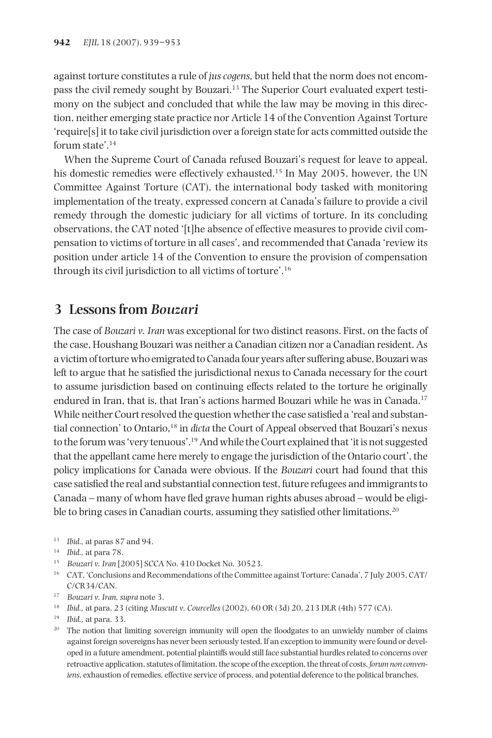against torture constitutes a rule of *jus cogens,* but held that the norm does not encompass the civil remedy sought by Bouzari. 13 The Superior Court evaluated expert testimony on the subject and concluded that while the law may be moving in this direction, neither emerging state practice nor Article 14 of the Convention Against Torture ' require[s] it to take civil jurisdiction over a foreign state for acts committed outside the forum state'.<sup>14</sup>

 When the Supreme Court of Canada refused Bouzari's request for leave to appeal, his domestic remedies were effectively exhausted. 15 In May 2005, however, the UN Committee Against Torture (CAT), the international body tasked with monitoring implementation of the treaty, expressed concern at Canada's failure to provide a civil remedy through the domestic judiciary for all victims of torture. In its concluding observations, the CAT noted '[t]he absence of effective measures to provide civil compensation to victims of torture in all cases ' , and recommended that Canada ' review its position under article 14 of the Convention to ensure the provision of compensation through its civil jurisdiction to all victims of torture'.<sup>16</sup>

### **3 Lessons from** *Bouzari*

 The case of *Bouzari v. Iran* was exceptional for two distinct reasons. First, on the facts of the case, Houshang Bouzari was neither a Canadian citizen nor a Canadian resident. As a victim of torture who emigrated to Canada four years after suffering abuse, Bouzari was left to argue that he satisfied the jurisdictional nexus to Canada necessary for the court to assume jurisdiction based on continuing effects related to the torture he originally endured in Iran, that is, that Iran's actions harmed Bouzari while he was in Canada.<sup>17</sup> While neither Court resolved the question whether the case satisfied a 'real and substantial connection' to Ontario,<sup>18</sup> in *dicta* the Court of Appeal observed that Bouzari's nexus to the forum was 'very tenuous'.<sup>19</sup> And while the Court explained that 'it is not suggested that the appellant came here merely to engage the jurisdiction of the Ontario court ' , the policy implications for Canada were obvious. If the *Bouzari* court had found that this case satisfied the real and substantial connection test, future refugees and immigrants to Canada – many of whom have fled grave human rights abuses abroad – would be eligible to bring cases in Canadian courts, assuming they satisfied other limitations.<sup>20</sup>

13 *Ibid.,* at paras 87 and 94.

- 15 *Bouzari v. Iran* [2005] SCCA No. 410 Docket No. 30523.
- <sup>16</sup> CAT, 'Conclusions and Recommendations of the Committee against Torture: Canada', 7 July 2005, CAT/ C/CR34/CAN.
- 17 *Bouzari v. Iran, supra* note 3.
- 18 *Ibid.,* at para. 23 (citing *Muscutt v. Courcelles* (2002), 60 OR (3d) 20, 213 DLR (4th) 577 (CA).
- 19 *Ibid.,* at para. 33.
- $20$  The notion that limiting sovereign immunity will open the floodgates to an unwieldy number of claims against foreign sovereigns has never been seriously tested. If an exception to immunity were found or developed in a future amendment, potential plaintiffs would still face substantial hurdles related to concerns over retroactive application, statutes of limitation, the scope of the exception, the threat of costs, *forum non conveniens* , exhaustion of remedies, effective service of process, and potential deference to the political branches.

<sup>14</sup> *Ibid.,* at para 78.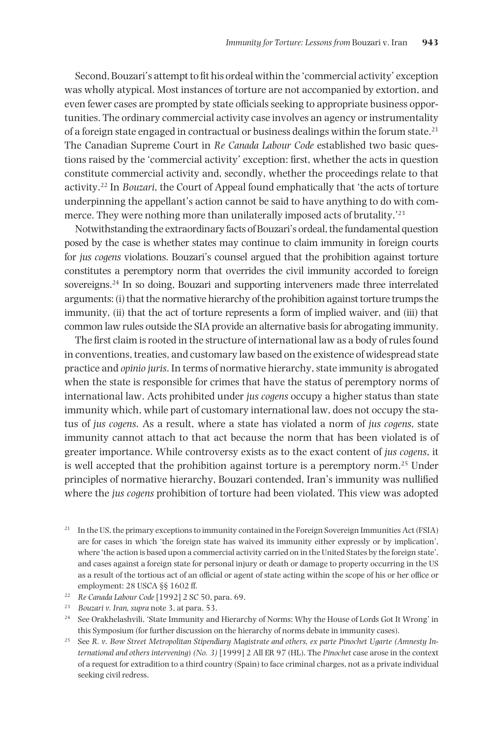Second, Bouzari's attempt to fit his ordeal within the 'commercial activity' exception was wholly atypical. Most instances of torture are not accompanied by extortion, and even fewer cases are prompted by state officials seeking to appropriate business opportunities. The ordinary commercial activity case involves an agency or instrumentality of a foreign state engaged in contractual or business dealings within the forum state. 21 The Canadian Supreme Court in *Re Canada Labour Code* established two basic questions raised by the 'commercial activity' exception: first, whether the acts in question constitute commercial activity and, secondly, whether the proceedings relate to that activity.<sup>22</sup> In *Bouzari*, the Court of Appeal found emphatically that 'the acts of torture underpinning the appellant's action cannot be said to have anything to do with commerce. They were nothing more than unilaterally imposed acts of brutality.<sup>'23</sup>

 Notwithstanding the extraordinary facts of Bouzari's ordeal, the fundamental question posed by the case is whether states may continue to claim immunity in foreign courts for *jus cogens* violations. Bouzari's counsel argued that the prohibition against torture constitutes a peremptory norm that overrides the civil immunity accorded to foreign sovereigns. 24 In so doing, Bouzari and supporting interveners made three interrelated arguments: (i) that the normative hierarchy of the prohibition against torture trumps the immunity, (ii) that the act of torture represents a form of implied waiver, and (iii) that common law rules outside the SIA provide an alternative basis for abrogating immunity.

The first claim is rooted in the structure of international law as a body of rules found in conventions, treaties, and customary law based on the existence of widespread state practice and *opinio juris* . In terms of normative hierarchy, state immunity is abrogated when the state is responsible for crimes that have the status of peremptory norms of international law. Acts prohibited under *jus cogens* occupy a higher status than state immunity which, while part of customary international law, does not occupy the status of *jus cogens* . As a result, where a state has violated a norm of *jus cogens* , state immunity cannot attach to that act because the norm that has been violated is of greater importance. While controversy exists as to the exact content of *jus cogens* , it is well accepted that the prohibition against torture is a peremptory norm.<sup>25</sup> Under principles of normative hierarchy, Bouzari contended, Iran's immunity was nullified where the *jus cogens* prohibition of torture had been violated. This view was adopted

<sup>21</sup> In the US, the primary exceptions to immunity contained in the Foreign Sovereign Immunities Act (FSIA) are for cases in which 'the foreign state has waived its immunity either expressly or by implication', where 'the action is based upon a commercial activity carried on in the United States by the foreign state', and cases against a foreign state for personal injury or death or damage to property occurring in the US as a result of the tortious act of an official or agent of state acting within the scope of his or her office or employment: 28 USCA §§ 1602 ff.

<sup>22</sup> *Re Canada Labour Code* [1992] 2 SC 50, para. 69.

<sup>23</sup> *Bouzari v. Iran, supra* note 3, at para. 53.

<sup>&</sup>lt;sup>24</sup> See Orakhelashvili, 'State Immunity and Hierarchy of Norms: Why the House of Lords Got It Wrong' in this Symposium (for further discussion on the hierarchy of norms debate in immunity cases).

<sup>25</sup> See *R. v. Bow Street Metropolitan Stipendiary Magistrate and others, ex parte Pinochet Ugarte (Amnesty International and others intervening* ) *(No. 3)* [1999] 2 All ER 97 (HL). The *Pinochet* case arose in the context of a request for extradition to a third country (Spain) to face criminal charges, not as a private individual seeking civil redress.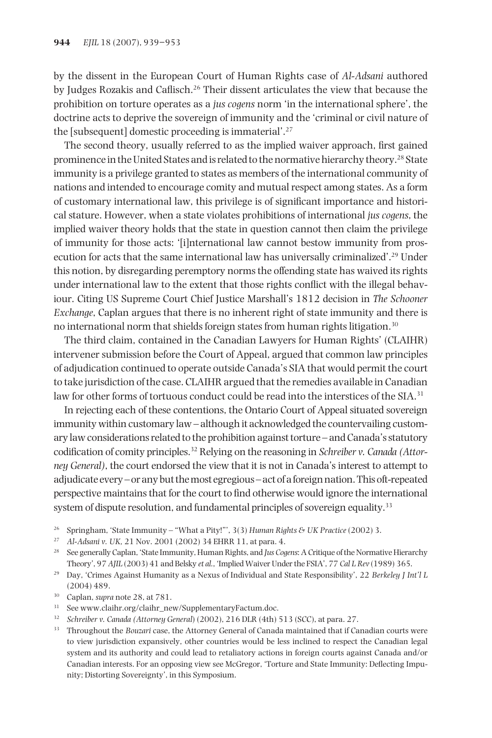by the dissent in the European Court of Human Rights case of *Al-Adsani* authored by Judges Rozakis and Caflisch.<sup>26</sup> Their dissent articulates the view that because the prohibition on torture operates as a *jus cogens* norm 'in the international sphere', the doctrine acts to deprive the sovereign of immunity and the ' criminal or civil nature of the [subsequent] domestic proceeding is immaterial'.<sup>27</sup>

The second theory, usually referred to as the implied waiver approach, first gained prominence in the United States and is related to the normative hierarchy theory. 28 State immunity is a privilege granted to states as members of the international community of nations and intended to encourage comity and mutual respect among states. As a form of customary international law, this privilege is of significant importance and historical stature. However, when a state violates prohibitions of international *jus cogens* , the implied waiver theory holds that the state in question cannot then claim the privilege of immunity for those acts: ' [i]nternational law cannot bestow immunity from prosecution for acts that the same international law has universally criminalized'.<sup>29</sup> Under this notion, by disregarding peremptory norms the offending state has waived its rights under international law to the extent that those rights conflict with the illegal behaviour. Citing US Supreme Court Chief Justice Marshall's 1812 decision in *The Schooner Exchange* , Caplan argues that there is no inherent right of state immunity and there is no international norm that shields foreign states from human rights litigation. 30

 The third claim, contained in the Canadian Lawyers for Human Rights ' (CLAIHR) intervener submission before the Court of Appeal, argued that common law principles of adjudication continued to operate outside Canada's SIA that would permit the court to take jurisdiction of the case. CLAIHR argued that the remedies available in Canadian law for other forms of tortuous conduct could be read into the interstices of the SIA.<sup>31</sup>

 In rejecting each of these contentions, the Ontario Court of Appeal situated sovereign immunity within customary law – although it acknowledged the countervailing customary law considerations related to the prohibition against torture – and Canada's statutory codification of comity principles.<sup>32</sup> Relying on the reasoning in *Schreiber v. Canada (Attorney General)* , the court endorsed the view that it is not in Canada's interest to attempt to adjudicate every – or any but the most egregious – act of a foreign nation. This oft-repeated perspective maintains that for the court to find otherwise would ignore the international system of dispute resolution, and fundamental principles of sovereign equality.<sup>33</sup>

- <sup>26</sup> Springham, 'State Immunity "What a Pity!"', 3(3) *Human Rights & UK Practice* (2002) 3.
- 27 *Al-Adsani v. UK,* 21 Nov. 2001 (2002) 34 EHRR 11, at para. 4.

- 30 Caplan, *supra* note 28, at 781.
- 31 Se[e www.claihr.org/claihr\\_new/SupplementaryFactum.doc.](http://www.claihr.org/claihr_new/SupplementaryFactum.doc)
- <sup>32</sup> *Schreiber v. Canada (Attorney General)* (2002), 216 DLR (4th) 513 (SCC), at para. 27.
- <sup>33</sup> Throughout the *Bouzari* case, the Attorney General of Canada maintained that if Canadian courts were to view jurisdiction expansively, other countries would be less inclined to respect the Canadian legal system and its authority and could lead to retaliatory actions in foreign courts against Canada and/or Canadian interests. For an opposing view see McGregor, 'Torture and State Immunity: Deflecting Impunity; Distorting Sovereignty', in this Symposium.

<sup>&</sup>lt;sup>28</sup> See generally Caplan, 'State Immunity, Human Rights, and *Jus Cogens*: A Critique of the Normative Hierarchy Theory', 97 AJIL (2003) 41 and Belsky *et al.*, 'Implied Waiver Under the FSIA', 77 *Cal L Rev* (1989) 365.

<sup>&</sup>lt;sup>29</sup> Day, 'Crimes Against Humanity as a Nexus of Individual and State Responsibility', 22 *Berkeley J Int'l L* (2004) 489.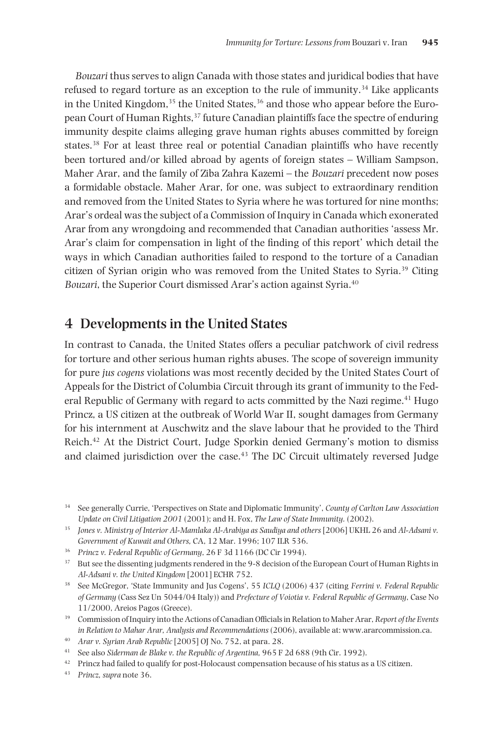*Bouzari* thus serves to align Canada with those states and juridical bodies that have refused to regard torture as an exception to the rule of immunity. 34 Like applicants in the United Kingdom, 35 the United States, 36 and those who appear before the European Court of Human Rights, 37 future Canadian plaintiffs face the spectre of enduring immunity despite claims alleging grave human rights abuses committed by foreign states. 38 For at least three real or potential Canadian plaintiffs who have recently been tortured and/or killed abroad by agents of foreign states – William Sampson, Maher Arar, and the family of Ziba Zahra Kazemi – the *Bouzari* precedent now poses a formidable obstacle. Maher Arar, for one, was subject to extraordinary rendition and removed from the United States to Syria where he was tortured for nine months; Arar's ordeal was the subject of a Commission of Inquiry in Canada which exonerated Arar from any wrongdoing and recommended that Canadian authorities 'assess Mr. Arar's claim for compensation in light of the finding of this report' which detail the ways in which Canadian authorities failed to respond to the torture of a Canadian citizen of Syrian origin who was removed from the United States to Syria. 39 Citing *Bouzari*, the Superior Court dismissed Arar's action against Syria.<sup>40</sup>

#### **4 Developments in the United States**

 In contrast to Canada, the United States offers a peculiar patchwork of civil redress for torture and other serious human rights abuses. The scope of sovereign immunity for pure *jus cogens* violations was most recently decided by the United States Court of Appeals for the District of Columbia Circuit through its grant of immunity to the Federal Republic of Germany with regard to acts committed by the Nazi regime.<sup>41</sup> Hugo Princz, a US citizen at the outbreak of World War II, sought damages from Germany for his internment at Auschwitz and the slave labour that he provided to the Third Reich. 42 At the District Court, Judge Sporkin denied Germany's motion to dismiss and claimed jurisdiction over the case.<sup>43</sup> The DC Circuit ultimately reversed Judge

36 *Princz v. Federal Republic of Germany* , 26 F 3d 1166 (DC Cir 1994).

<sup>&</sup>lt;sup>34</sup> See generally Currie, 'Perspectives on State and Diplomatic Immunity', *County of Carlton Law Association Update on Civil Litigation 2001* (2001); and H. Fox, *The Law of State Immunity.* (2002).

<sup>35</sup> *Jones v. Ministry of Interior Al-Mamlaka Al-Arabiya as Saudiya and others* [2006] UKHL 26 and *Al-Adsani v. Government of Kuwait and Others,* CA, 12 Mar. 1996; 107 ILR 536.

<sup>&</sup>lt;sup>37</sup> But see the dissenting judgments rendered in the 9-8 decision of the European Court of Human Rights in *Al-Adsani v. the United Kingdom* [2001] ECHR 752.

<sup>38</sup> See McGregor, ' State Immunity and Jus Cogens ' , 55 *ICLQ* (2006) 437 (citing *Ferrini v. Federal Republic of Germany* (Cass Sez Un 5044/04 Italy)) and *Prefecture of Voiotia v. Federal Republic of Germany* , Case No 11/2000, Areios Pagos (Greece).

<sup>&</sup>lt;sup>39</sup> Commission of Inquiry into the Actions of Canadian Officials in Relation to Maher Arar, *Report of the Events in Relation to Mahar Arar, Analysis and Recommendations* (2006), available at[: www.ararcommission.ca.](http://www.ararcommission.ca)

<sup>40</sup> *Arar v. Syrian Arab Republic* [2005] OJ No. 752, at para. 28.

<sup>41</sup> See also *Siderman de Blake v. the Republic of Argentina,* 965 F 2d 688 (9th Cir. 1992).

<sup>&</sup>lt;sup>42</sup> Princz had failed to qualify for post-Holocaust compensation because of his status as a US citizen.

<sup>43</sup> *Princz, supra* note 36.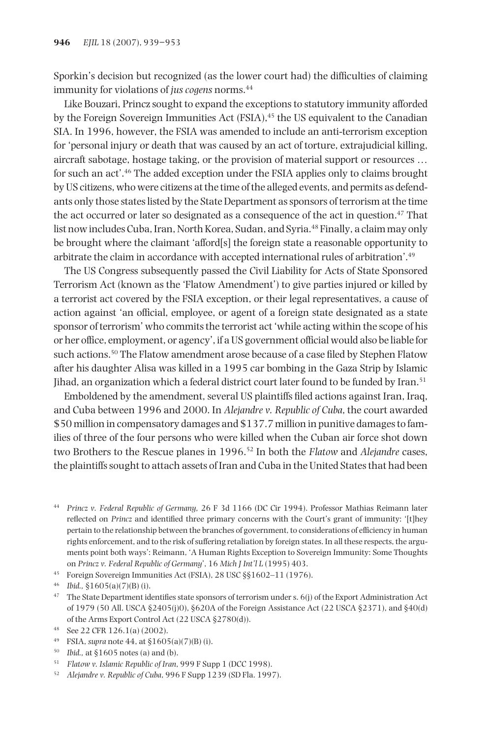Sporkin's decision but recognized (as the lower court had) the difficulties of claiming immunity for violations of *jus cogens* norms. 44

 Like Bouzari, Princz sought to expand the exceptions to statutory immunity afforded by the Foreign Sovereign Immunities Act (FSIA),<sup>45</sup> the US equivalent to the Canadian SIA. In 1996, however, the FSIA was amended to include an anti-terrorism exception for 'personal injury or death that was caused by an act of torture, extrajudicial killing, aircraft sabotage, hostage taking, or the provision of material support or resources … for such an act'.<sup>46</sup> The added exception under the FSIA applies only to claims brought by US citizens, who were citizens at the time of the alleged events, and permits as defendants only those states listed by the State Department as sponsors of terrorism at the time the act occurred or later so designated as a consequence of the act in question. 47 That list now includes Cuba, Iran, North Korea, Sudan, and Syria. 48 Finally, a claim may only be brought where the claimant 'afford[s] the foreign state a reasonable opportunity to arbitrate the claim in accordance with accepted international rules of arbitration ' . 49

 The US Congress subsequently passed the Civil Liability for Acts of State Sponsored Terrorism Act (known as the 'Flatow Amendment') to give parties injured or killed by a terrorist act covered by the FSIA exception, or their legal representatives, a cause of action against 'an official, employee, or agent of a foreign state designated as a state sponsor of terrorism ' who commits the terrorist act ' while acting within the scope of his or her office, employment, or agency', if a US government official would also be liable for such actions.<sup>50</sup> The Flatow amendment arose because of a case filed by Stephen Flatow after his daughter Alisa was killed in a 1995 car bombing in the Gaza Strip by Islamic Jihad, an organization which a federal district court later found to be funded by Iran. 51

Emboldened by the amendment, several US plaintiffs filed actions against Iran, Iraq, and Cuba between 1996 and 2000. In *Alejandre v. Republic of Cuba* , the court awarded \$50 million in compensatory damages and \$137.7 million in punitive damages to families of three of the four persons who were killed when the Cuban air force shot down two Brothers to the Rescue planes in 1996. 52 In both the *Flatow* and *Alejandre* cases, the plaintiffs sought to attach assets of Iran and Cuba in the United States that had been

- <sup>45</sup> Foreign Sovereign Immunities Act (FSIA), 28 USC §§1602-11 (1976).
- 46 *Ibid.,* §1605(a)(7)(B) (i).
- $47$  The State Department identifies state sponsors of terrorism under s. 6(j) of the Export Administration Act of 1979 (50 All. USCA §2405(j)0), §620A of the Foreign Assistance Act (22 USCA §2371), and §40(d) of the Arms Export Control Act (22 USCA §2780(d)).
- 48 See 22 CFR 126.1(a) (2002).
- 49 FSIA, *supra* note 44, at §1605(a)(7)(B) (i).
- 50 *Ibid.,* at §1605 notes (a) and (b).
- 51 *Flatow v. Islamic Republic of Iran* , 999 F Supp 1 (DCC 1998).
- 52 *Alejandre v. Republic of Cuba* , 996 F Supp 1239 (SD Fla. 1997).

<sup>44</sup> *Princz v. Federal Republic of Germany,* 26 F 3d 1166 (DC Cir 1994). Professor Mathias Reimann later reflected on *Princz* and identified three primary concerns with the Court's grant of immunity: '[t]hey pertain to the relationship between the branches of government, to considerations of efficiency in human rights enforcement, and to the risk of suffering retaliation by foreign states. In all these respects, the arguments point both ways': Reimann, 'A Human Rights Exception to Sovereign Immunity: Some Thoughts on Princz v. Federal Republic of Germany', 16 Mich J Int'l L (1995) 403.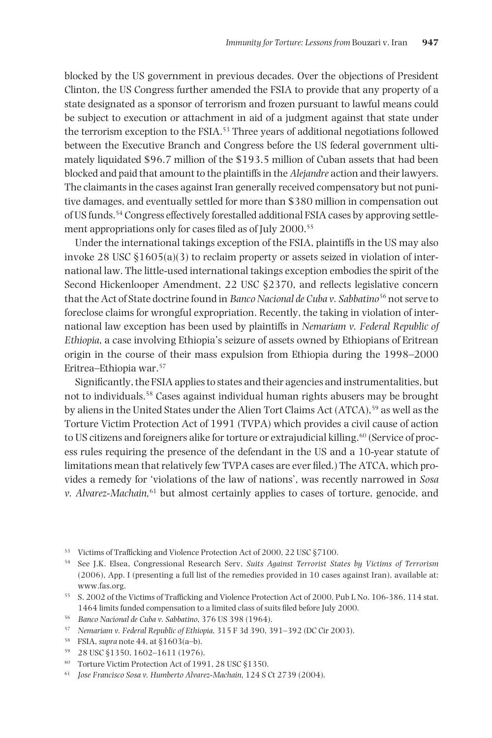blocked by the US government in previous decades. Over the objections of President Clinton, the US Congress further amended the FSIA to provide that any property of a state designated as a sponsor of terrorism and frozen pursuant to lawful means could be subject to execution or attachment in aid of a judgment against that state under the terrorism exception to the FSIA.<sup>53</sup> Three years of additional negotiations followed between the Executive Branch and Congress before the US federal government ultimately liquidated \$96.7 million of the \$193.5 million of Cuban assets that had been blocked and paid that amount to the plaintiffs in the *Alejandre* action and their lawyers. The claimants in the cases against Iran generally received compensatory but not punitive damages, and eventually settled for more than \$380 million in compensation out of US funds. 54 Congress effectively forestalled additional FSIA cases by approving settlement appropriations only for cases filed as of July 2000.<sup>55</sup>

 Under the international takings exception of the FSIA, plaintiffs in the US may also invoke 28 USC  $\S1605(a)(3)$  to reclaim property or assets seized in violation of international law. The little-used international takings exception embodies the spirit of the Second Hickenlooper Amendment, 22 USC  $\S$ 2370, and reflects legislative concern that the Act of State doctrine found in *Banco Nacional de Cuba v. Sabbatino56* not serve to foreclose claims for wrongful expropriation. Recently, the taking in violation of international law exception has been used by plaintiffs in *Nemariam v. Federal Republic of Ethiopia* , a case involving Ethiopia's seizure of assets owned by Ethiopians of Eritrean origin in the course of their mass expulsion from Ethiopia during the 1998–2000 Eritrea-Ethiopia war.<sup>57</sup>

Significantly, the FSIA applies to states and their agencies and instrumentalities, but not to individuals. 58 Cases against individual human rights abusers may be brought by aliens in the United States under the Alien Tort Claims Act (ATCA), 59 as well as the Torture Victim Protection Act of 1991 (TVPA) which provides a civil cause of action to US citizens and foreigners alike for torture or extrajudicial killing. 60 (Service of process rules requiring the presence of the defendant in the US and a 10-year statute of limitations mean that relatively few TVPA cases are ever filed.) The ATCA, which provides a remedy for ' violations of the law of nations ' , was recently narrowed in *Sosa v. Alvarez-Machain,*61 but almost certainly applies to cases of torture, genocide, and

<sup>&</sup>lt;sup>53</sup> Victims of Trafficking and Violence Protection Act of 2000, 22 USC §7100.

<sup>54</sup> See J.K. Elsea, Congressional Research Serv, *Suits Against Terrorist States by Victims of Terrorism* (2006), App. I (presenting a full list of the remedies provided in 10 cases against Iran), available at: [www.fas.org.](http://www.fas.org) 

<sup>55</sup> S. 2002 of the Victims of Trafficking and Violence Protection Act of 2000, Pub L No. 106-386, 114 stat. 1464 limits funded compensation to a limited class of suits filed before July 2000.

<sup>&</sup>lt;sup>56</sup> Banco Nacional de Cuba v. Sabbatino, 376 US 398 (1964).

<sup>&</sup>lt;sup>57</sup> Nemariam v. Federal Republic of Ethiopia, 315 F 3d 390, 391-392 (DC Cir 2003).

<sup>58</sup> FSIA, *supra* note 44, at §1603(a–b).

<sup>59 28</sup> USC §1350, 1602-1611 (1976).

<sup>60</sup> Torture Victim Protection Act of 1991, 28 USC §1350.

<sup>61</sup> *Jose Francisco Sosa v. Humberto Alvarez-Machain,* 124 S Ct 2739 (2004).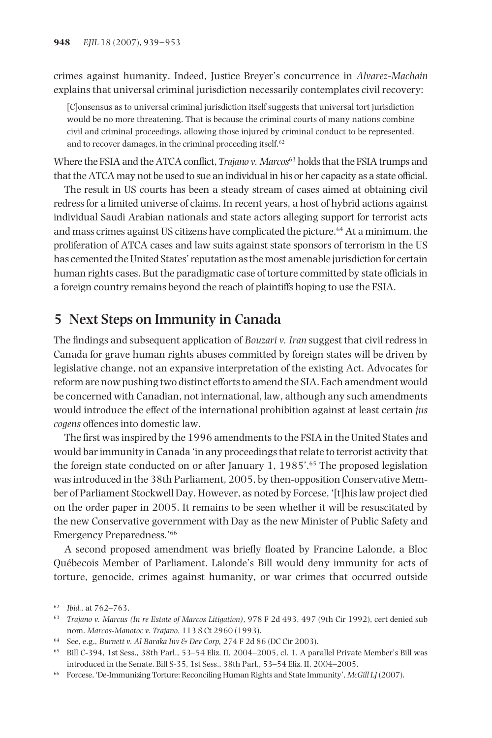crimes against humanity. Indeed, Justice Breyer's concurrence in *Alvarez-Machain* explains that universal criminal jurisdiction necessarily contemplates civil recovery:

 [C]onsensus as to universal criminal jurisdiction itself suggests that universal tort jurisdiction would be no more threatening. That is because the criminal courts of many nations combine civil and criminal proceedings, allowing those injured by criminal conduct to be represented, and to recover damages, in the criminal proceeding itself. 62

Where the FSIA and the ATCA conflict, *Trajano v. Marcos*<sup>63</sup> holds that the FSIA trumps and that the ATCA may not be used to sue an individual in his or her capacity as a state official.

 The result in US courts has been a steady stream of cases aimed at obtaining civil redress for a limited universe of claims. In recent years, a host of hybrid actions against individual Saudi Arabian nationals and state actors alleging support for terrorist acts and mass crimes against US citizens have complicated the picture. 64 At a minimum, the proliferation of ATCA cases and law suits against state sponsors of terrorism in the US has cemented the United States ' reputation as the most amenable jurisdiction for certain human rights cases. But the paradigmatic case of torture committed by state officials in a foreign country remains beyond the reach of plaintiffs hoping to use the FSIA.

#### **5 Next Steps on Immunity in Canada**

The findings and subsequent application of *Bouzari v. Iran* suggest that civil redress in Canada for grave human rights abuses committed by foreign states will be driven by legislative change, not an expansive interpretation of the existing Act. Advocates for reform are now pushing two distinct efforts to amend the SIA. Each amendment would be concerned with Canadian, not international, law, although any such amendments would introduce the effect of the international prohibition against at least certain *jus cogens* offences into domestic law.

The first was inspired by the 1996 amendments to the FSIA in the United States and would bar immunity in Canada 'in any proceedings that relate to terrorist activity that the foreign state conducted on or after January 1,  $1985'$ .<sup> $65$ </sup> The proposed legislation was introduced in the 38th Parliament, 2005, by then-opposition Conservative Member of Parliament Stockwell Day. However, as noted by Forcese, ' [t]his law project died on the order paper in 2005. It remains to be seen whether it will be resuscitated by the new Conservative government with Day as the new Minister of Public Safety and Emergency Preparedness.'<sup>66</sup>

A second proposed amendment was briefly floated by Francine Lalonde, a Bloc Québecois Member of Parliament. Lalonde's Bill would deny immunity for acts of torture, genocide, crimes against humanity, or war crimes that occurred outside

<sup>&</sup>lt;sup>62</sup> *Ibid., at* 762-763.

<sup>63</sup> *Trajano v. Marcus (In re Estate of Marcos Litigation)* , 978 F 2d 493, 497 (9th Cir 1992), cert denied sub nom. *Marcos-Manotoc v. Trajano* , 113 S Ct 2960 (1993).

<sup>64</sup> See, e.g., *Burnett v. Al Baraka Inv & Dev Corp,* 274 F 2d 86 (DC Cir 2003).

<sup>65</sup> Bill C-394, 1st Sess., 38th Parl., 53 – 54 Eliz. II, 2004 – 2005, cl. 1. A parallel Private Member's Bill was introduced in the Senate. Bill S-35, 1st Sess., 38th Parl., 53-54 Eliz. II, 2004-2005.

<sup>66</sup> Forcese, ' De-Immunizing Torture: Reconciling Human Rights and State Immunity ' , *McGill LJ* (2007).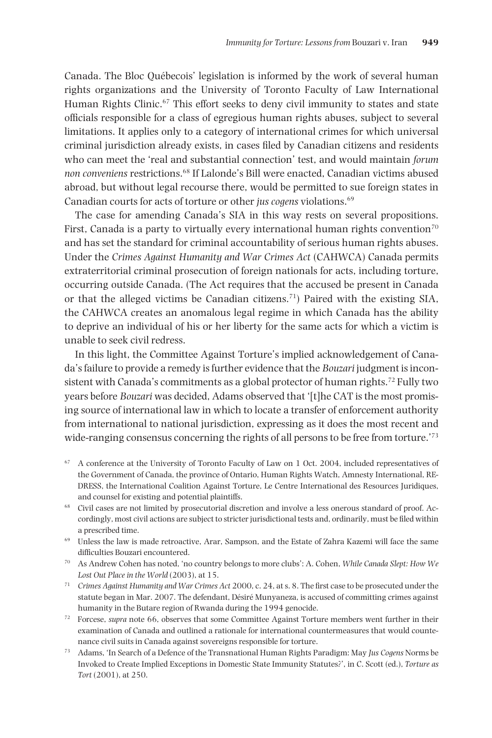Canada. The Bloc Québecois ' legislation is informed by the work of several human rights organizations and the University of Toronto Faculty of Law International Human Rights Clinic.<sup>67</sup> This effort seeks to deny civil immunity to states and state offi cials responsible for a class of egregious human rights abuses, subject to several limitations. It applies only to a category of international crimes for which universal criminal jurisdiction already exists, in cases filed by Canadian citizens and residents who can meet the 'real and substantial connection' test, and would maintain *forum non conveniens* restrictions. 68 If Lalonde's Bill were enacted, Canadian victims abused abroad, but without legal recourse there, would be permitted to sue foreign states in Canadian courts for acts of torture or other *jus cogens* violations. 69

 The case for amending Canada's SIA in this way rests on several propositions. First, Canada is a party to virtually every international human rights convention<sup>70</sup> and has set the standard for criminal accountability of serious human rights abuses. Under the *Crimes Against Humanity and War Crimes Act* (CAHWCA) Canada permits extraterritorial criminal prosecution of foreign nationals for acts, including torture, occurring outside Canada. (The Act requires that the accused be present in Canada or that the alleged victims be Canadian citizens.<sup>71</sup>) Paired with the existing SIA, the CAHWCA creates an anomalous legal regime in which Canada has the ability to deprive an individual of his or her liberty for the same acts for which a victim is unable to seek civil redress.

 In this light, the Committee Against Torture's implied acknowledgement of Canada's failure to provide a remedy is further evidence that the *Bouzari* judgment is inconsistent with Canada's commitments as a global protector of human rights. 72 Fully two years before *Bouzari* was decided, Adams observed that '[t]he CAT is the most promising source of international law in which to locate a transfer of enforcement authority from international to national jurisdiction, expressing as it does the most recent and wide-ranging consensus concerning the rights of all persons to be free from torture.<sup>73</sup>

- <sup>67</sup> A conference at the University of Toronto Faculty of Law on 1 Oct. 2004, included representatives of the Government of Canada, the province of Ontario, Human Rights Watch, Amnesty International, RE-DRESS, the International Coalition Against Torture, Le Centre International des Resources Juridiques, and counsel for existing and potential plaintiffs.
- 68 Civil cases are not limited by prosecutorial discretion and involve a less onerous standard of proof. Accordingly, most civil actions are subject to stricter jurisdictional tests and, ordinarily, must be filed within a prescribed time.
- 69 Unless the law is made retroactive, Arar, Sampson, and the Estate of Zahra Kazemi will face the same difficulties Bouzari encountered.
- 70 As Andrew Cohen has noted, ' no country belongs to more clubs ' : A. Cohen, *While Canada Slept: How We Lost Out Place in the World* (2003), at 15.
- <sup>71</sup> *Crimes Against Humanity and War Crimes Act* 2000, c. 24, at s. 8. The first case to be prosecuted under the statute began in Mar. 2007. The defendant, Désiré Munyaneza, is accused of committing crimes against humanity in the Butare region of Rwanda during the 1994 genocide.
- 72 Forcese, *supra* note 66, observes that some Committee Against Torture members went further in their examination of Canada and outlined a rationale for international countermeasures that would countenance civil suits in Canada against sovereigns responsible for torture.
- 73 Adams, ' In Search of a Defence of the Transnational Human Rights Paradigm: May *Jus Cogens* Norms be Invoked to Create Implied Exceptions in Domestic State Immunity Statutes? ' , in C. Scott (ed.), *Torture as Tort* (2001), at 250.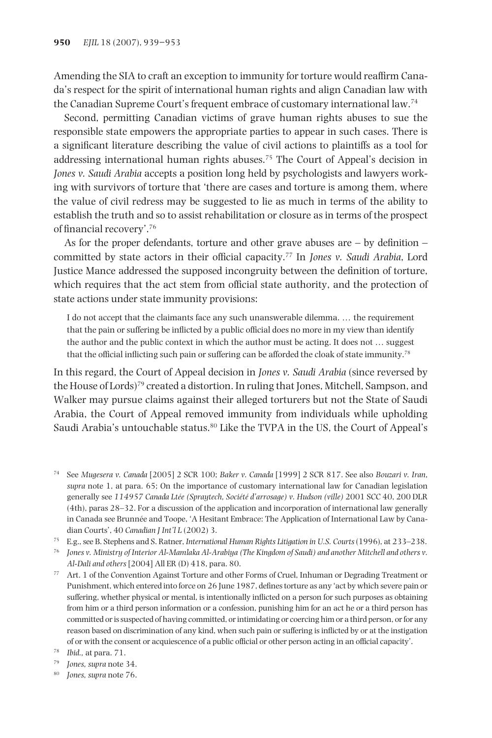Amending the SIA to craft an exception to immunity for torture would reaffirm Canada's respect for the spirit of international human rights and align Canadian law with the Canadian Supreme Court's frequent embrace of customary international law. 74

 Second, permitting Canadian victims of grave human rights abuses to sue the responsible state empowers the appropriate parties to appear in such cases. There is a significant literature describing the value of civil actions to plaintiffs as a tool for addressing international human rights abuses.<sup> $75$ </sup> The Court of Appeal's decision in *Jones v. Saudi Arabia* accepts a position long held by psychologists and lawyers working with survivors of torture that 'there are cases and torture is among them, where the value of civil redress may be suggested to lie as much in terms of the ability to establish the truth and so to assist rehabilitation or closure as in terms of the prospect of financial recovery'.<sup>76</sup>

As for the proper defendants, torture and other grave abuses are  $-$  by definition  $$ committed by state actors in their official capacity.<sup>77</sup> In *Jones v. Saudi Arabia*, Lord Justice Mance addressed the supposed incongruity between the definition of torture, which requires that the act stem from official state authority, and the protection of state actions under state immunity provisions:

 I do not accept that the claimants face any such unanswerable dilemma. … the requirement that the pain or suffering be inflicted by a public official does no more in my view than identify the author and the public context in which the author must be acting. It does not … suggest that the official inflicting such pain or suffering can be afforded the cloak of state immunity.<sup>78</sup>

 In this regard, the Court of Appeal decision in *Jones v. Saudi Arabia* (since reversed by the House of Lords) 79 created a distortion. In ruling that Jones, Mitchell, Sampson, and Walker may pursue claims against their alleged torturers but not the State of Saudi Arabia, the Court of Appeal removed immunity from individuals while upholding Saudi Arabia's untouchable status.<sup>80</sup> Like the TVPA in the US, the Court of Appeal's

- 74 See *Mugesera v. Canada* [2005] 2 SCR 100; *Baker v. Canada* [1999] 2 SCR 817. See also *Bouzari v. Iran* , *supra* note 1, at para. 65; On the importance of customary international law for Canadian legislation generally see *114957 Canada Ltée (Spraytech, Société d'arrosage) v. Hudson (ville)* 2001 SCC 40, 200 DLR (4th), paras 28 – 32. For a discussion of the application and incorporation of international law generally in Canada see Brunnée and Toope, ' A Hesitant Embrace: The Application of International Law by Canadian Courts', 40 *Canadian J Int'l L* (2002) 3.
- 75 E.g., see B. Stephens and S. Ratner, *International Human Rights Litigation in U.S. Courts* (1996), at 233 238.

76 *Jones v. Ministry of Interior Al-Mamlaka Al-Arabiya (The Kingdom of Saudi) and another Mitchell and others v. Al-Dali and others* [2004] All ER (D) 418, para. 80.

- 77 Art. 1 of the Convention Against Torture and other Forms of Cruel, Inhuman or Degrading Treatment or Punishment, which entered into force on 26 June 1987, defines torture as any 'act by which severe pain or suffering, whether physical or mental, is intentionally inflicted on a person for such purposes as obtaining from him or a third person information or a confession, punishing him for an act he or a third person has committed or is suspected of having committed, or intimidating or coercing him or a third person, or for any reason based on discrimination of any kind, when such pain or suffering is inflicted by or at the instigation of or with the consent or acquiescence of a public official or other person acting in an official capacity'.
- 78 *Ibid.,* at para. 71.
- 79 *Jones, supra* note 34.
- 80 *Jones, supra* note 76.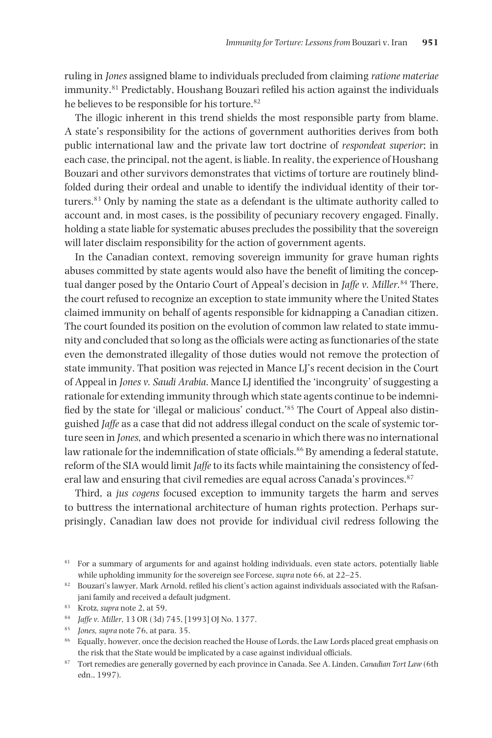ruling in *Jones* assigned blame to individuals precluded from claiming *ratione materiae*  $\lim_{\text{min} \to \infty}$  Predictably, Houshang Bouzari refiled his action against the individuals he believes to be responsible for his torture. 82

 The illogic inherent in this trend shields the most responsible party from blame. A state's responsibility for the actions of government authorities derives from both public international law and the private law tort doctrine of *respondeat superior* ; in each case, the principal, not the agent, is liable. In reality, the experience of Houshang Bouzari and other survivors demonstrates that victims of torture are routinely blindfolded during their ordeal and unable to identify the individual identity of their torturers. 83 Only by naming the state as a defendant is the ultimate authority called to account and, in most cases, is the possibility of pecuniary recovery engaged. Finally, holding a state liable for systematic abuses precludes the possibility that the sovereign will later disclaim responsibility for the action of government agents.

 In the Canadian context, removing sovereign immunity for grave human rights abuses committed by state agents would also have the benefit of limiting the conceptual danger posed by the Ontario Court of Appeal's decision in *Jaffe v. Miller.*84 There, the court refused to recognize an exception to state immunity where the United States claimed immunity on behalf of agents responsible for kidnapping a Canadian citizen. The court founded its position on the evolution of common law related to state immunity and concluded that so long as the officials were acting as functionaries of the state even the demonstrated illegality of those duties would not remove the protection of state immunity. That position was rejected in Mance LJ's recent decision in the Court of Appeal in *Jones v. Saudi Arabia*. Mance LJ identified the 'incongruity' of suggesting a rationale for extending immunity through which state agents continue to be indemnified by the state for 'illegal or malicious' conduct.'<sup>85</sup> The Court of Appeal also distinguished *Jaffe* as a case that did not address illegal conduct on the scale of systemic torture seen in *Jones,* and which presented a scenario in which there was no international law rationale for the indemnification of state officials.<sup>86</sup> By amending a federal statute, reform of the SIA would limit *Jaffe* to its facts while maintaining the consistency of federal law and ensuring that civil remedies are equal across Canada's provinces. 87

 Third, a *jus cogens* focused exception to immunity targets the harm and serves to buttress the international architecture of human rights protection. Perhaps surprisingly, Canadian law does not provide for individual civil redress following the

<sup>&</sup>lt;sup>81</sup> For a summary of arguments for and against holding individuals, even state actors, potentially liable while upholding immunity for the sovereign see Forcese, *supra* note 66, at  $22-25$ .

<sup>82</sup> Bouzari's lawyer, Mark Arnold, refiled his client's action against individuals associated with the Rafsanjani family and received a default judgment.

<sup>83</sup> Krotz, *supra* note 2, at 59.

<sup>84</sup> *Jaffe v. Miller,* 13 OR (3d) 745, [1993] OJ No. 1377.

<sup>85</sup> *Jones, supra* note 76, at para. 35.

<sup>&</sup>lt;sup>86</sup> Equally, however, once the decision reached the House of Lords, the Law Lords placed great emphasis on the risk that the State would be implicated by a case against individual officials.

<sup>87</sup> Tort remedies are generally governed by each province in Canada. See A. Linden, *Canadian Tort Law* (6th edn., 1997).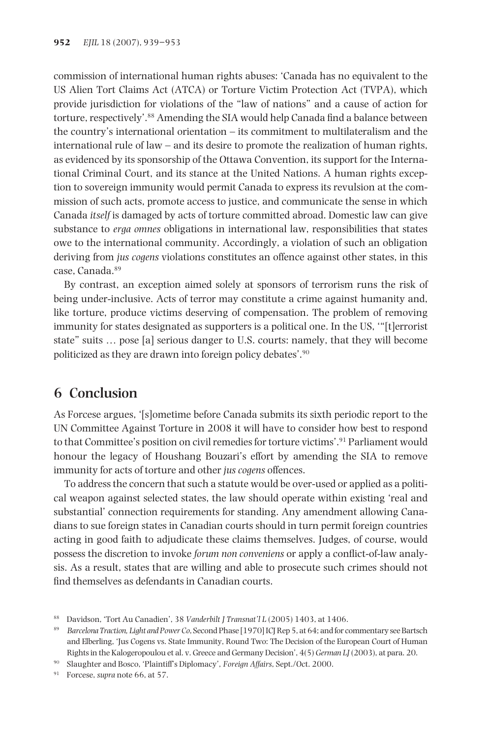commission of international human rights abuses: ' Canada has no equivalent to the US Alien Tort Claims Act (ATCA) or Torture Victim Protection Act (TVPA), which provide jurisdiction for violations of the " law of nations " and a cause of action for torture, respectively'.<sup>88</sup> Amending the SIA would help Canada find a balance between the country's international orientation – its commitment to multilateralism and the international rule of law – and its desire to promote the realization of human rights, as evidenced by its sponsorship of the Ottawa Convention, its support for the International Criminal Court, and its stance at the United Nations. A human rights exception to sovereign immunity would permit Canada to express its revulsion at the commission of such acts, promote access to justice, and communicate the sense in which Canada *itself* is damaged by acts of torture committed abroad. Domestic law can give substance to *erga omnes* obligations in international law, responsibilities that states owe to the international community. Accordingly, a violation of such an obligation deriving from *jus cogens* violations constitutes an offence against other states, in this case, Canada. 89

 By contrast, an exception aimed solely at sponsors of terrorism runs the risk of being under-inclusive. Acts of terror may constitute a crime against humanity and, like torture, produce victims deserving of compensation. The problem of removing immunity for states designated as supporters is a political one. In the US, "[t]errorist state" suits ... pose [a] serious danger to U.S. courts: namely, that they will become politicized as they are drawn into foreign policy debates'.<sup>90</sup>

#### **6 Conclusion**

As Forcese argues, '[s]ometime before Canada submits its sixth periodic report to the UN Committee Against Torture in 2008 it will have to consider how best to respond to that Committee's position on civil remedies for torture victims ' . 91 Parliament would honour the legacy of Houshang Bouzari's effort by amending the SIA to remove immunity for acts of torture and other *jus cogens* offences.

 To address the concern that such a statute would be over-used or applied as a political weapon against selected states, the law should operate within existing ' real and substantial' connection requirements for standing. Any amendment allowing Canadians to sue foreign states in Canadian courts should in turn permit foreign countries acting in good faith to adjudicate these claims themselves. Judges, of course, would possess the discretion to invoke *forum non conveniens* or apply a conflict-of-law analysis. As a result, states that are willing and able to prosecute such crimes should not find themselves as defendants in Canadian courts.

<sup>&</sup>lt;sup>88</sup> Davidson, 'Tort Au Canadien', 38 *Vanderbilt J Transnat'l L* (2005) 1403, at 1406.

<sup>89</sup> *Barcelona Traction, Light and Power Co* , Second Phase [1970] ICJ Rep 5, at 64; and for commentary see Bartsch and Elberling, 'Jus Cogens vs. State Immunity, Round Two: The Decision of the European Court of Human Rights in the Kalogeropoulou et al. v. Greece and Germany Decision ' , 4(5) *German LJ* (2003), at para. 20.

<sup>&</sup>lt;sup>90</sup> Slaughter and Bosco, 'Plaintiff's Diplomacy', *Foreign Affairs*, Sept./Oct. 2000.

<sup>91</sup> Forcese, *supra* note 66, at 57.